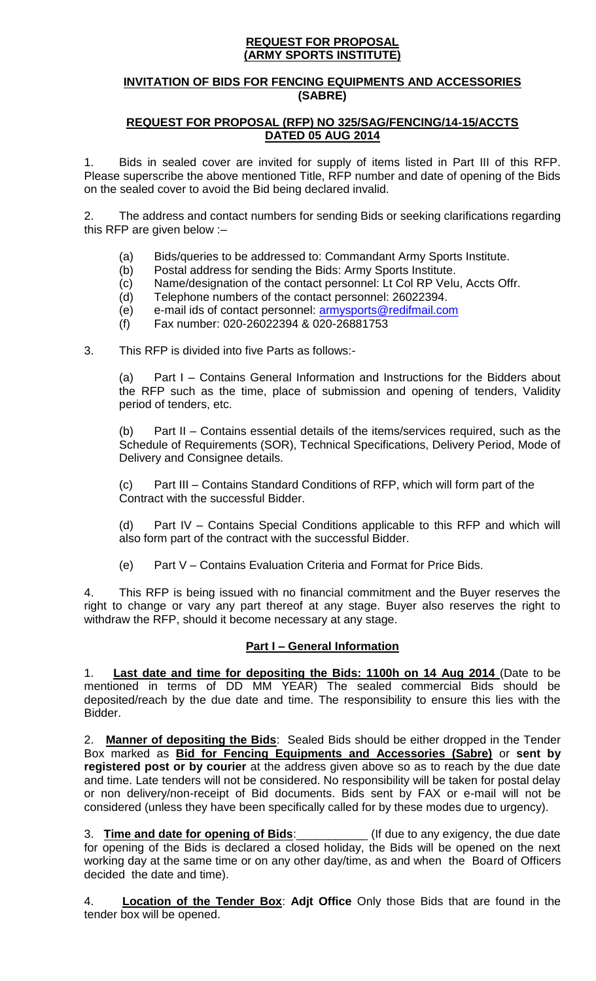### **REQUEST FOR PROPOSAL (ARMY SPORTS INSTITUTE)**

### **INVITATION OF BIDS FOR FENCING EQUIPMENTS AND ACCESSORIES (SABRE)**

### **REQUEST FOR PROPOSAL (RFP) NO 325/SAG/FENCING/14-15/ACCTS DATED 05 AUG 2014**

1. Bids in sealed cover are invited for supply of items listed in Part III of this RFP. Please superscribe the above mentioned Title, RFP number and date of opening of the Bids on the sealed cover to avoid the Bid being declared invalid.

2. The address and contact numbers for sending Bids or seeking clarifications regarding this RFP are given below :–

- (a) Bids/queries to be addressed to: Commandant Army Sports Institute.
- (b) Postal address for sending the Bids: Army Sports Institute.
- (c) Name/designation of the contact personnel: Lt Col RP Velu, Accts Offr.
- (d) Telephone numbers of the contact personnel: 26022394.
- (e) e-mail ids of contact personnel: [armysports@redifmail.com](mailto:armysports@redifmail.com)
- (f) Fax number: 020-26022394 & 020-26881753

3. This RFP is divided into five Parts as follows:-

(a) Part I – Contains General Information and Instructions for the Bidders about the RFP such as the time, place of submission and opening of tenders, Validity period of tenders, etc.

(b) Part II – Contains essential details of the items/services required, such as the Schedule of Requirements (SOR), Technical Specifications, Delivery Period, Mode of Delivery and Consignee details.

(c) Part III – Contains Standard Conditions of RFP, which will form part of the Contract with the successful Bidder.

(d) Part IV – Contains Special Conditions applicable to this RFP and which will also form part of the contract with the successful Bidder.

(e) Part V – Contains Evaluation Criteria and Format for Price Bids.

4. This RFP is being issued with no financial commitment and the Buyer reserves the right to change or vary any part thereof at any stage. Buyer also reserves the right to withdraw the RFP, should it become necessary at any stage.

### **Part I – General Information**

**Last date and time for depositing the Bids: 1100h on 14 Aug 2014 (Date to be** mentioned in terms of DD MM YEAR) The sealed commercial Bids should be deposited/reach by the due date and time. The responsibility to ensure this lies with the Bidder.

2. **Manner of depositing the Bids**: Sealed Bids should be either dropped in the Tender Box marked as **Bid for Fencing Equipments and Accessories (Sabre)** or **sent by registered post or by courier** at the address given above so as to reach by the due date and time. Late tenders will not be considered. No responsibility will be taken for postal delay or non delivery/non-receipt of Bid documents. Bids sent by FAX or e-mail will not be considered (unless they have been specifically called for by these modes due to urgency).

3. **Time and date for opening of Bids**:\_\_\_\_\_\_\_\_\_\_\_ (If due to any exigency, the due date for opening of the Bids is declared a closed holiday, the Bids will be opened on the next working day at the same time or on any other day/time, as and when the Board of Officers decided the date and time).

4. **Location of the Tender Box**: **Adjt Office** Only those Bids that are found in the tender box will be opened.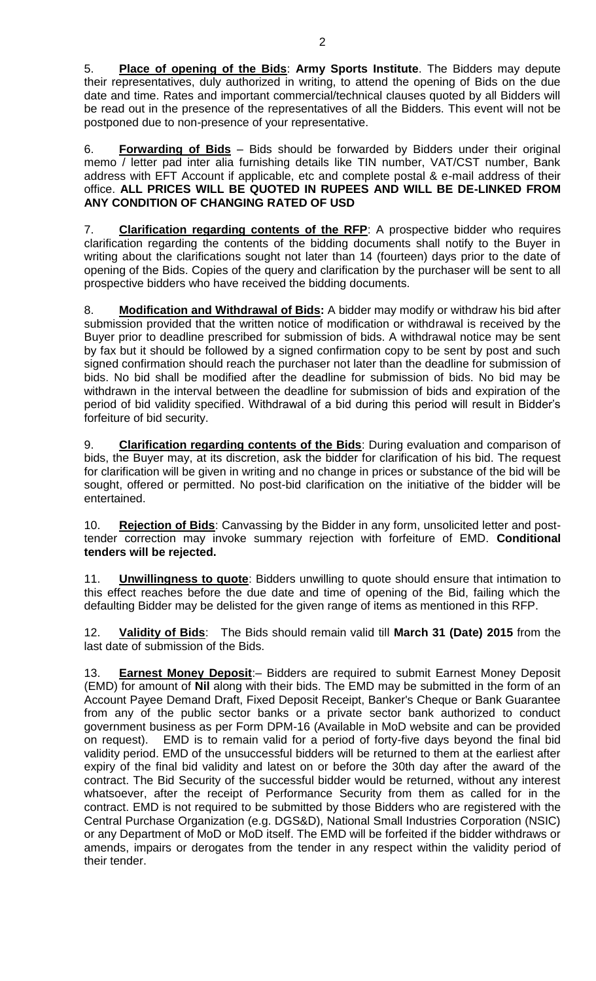5. **Place of opening of the Bids**: **Army Sports Institute**. The Bidders may depute their representatives, duly authorized in writing, to attend the opening of Bids on the due date and time. Rates and important commercial/technical clauses quoted by all Bidders will be read out in the presence of the representatives of all the Bidders. This event will not be postponed due to non-presence of your representative.

6. **Forwarding of Bids** – Bids should be forwarded by Bidders under their original memo / letter pad inter alia furnishing details like TIN number, VAT/CST number, Bank address with EFT Account if applicable, etc and complete postal & e-mail address of their office. **ALL PRICES WILL BE QUOTED IN RUPEES AND WILL BE DE-LINKED FROM ANY CONDITION OF CHANGING RATED OF USD**

7. **Clarification regarding contents of the RFP**: A prospective bidder who requires clarification regarding the contents of the bidding documents shall notify to the Buyer in writing about the clarifications sought not later than 14 (fourteen) days prior to the date of opening of the Bids. Copies of the query and clarification by the purchaser will be sent to all prospective bidders who have received the bidding documents.

8. **Modification and Withdrawal of Bids:** A bidder may modify or withdraw his bid after submission provided that the written notice of modification or withdrawal is received by the Buyer prior to deadline prescribed for submission of bids. A withdrawal notice may be sent by fax but it should be followed by a signed confirmation copy to be sent by post and such signed confirmation should reach the purchaser not later than the deadline for submission of bids. No bid shall be modified after the deadline for submission of bids. No bid may be withdrawn in the interval between the deadline for submission of bids and expiration of the period of bid validity specified. Withdrawal of a bid during this period will result in Bidder's forfeiture of bid security.

9. **Clarification regarding contents of the Bids**: During evaluation and comparison of bids, the Buyer may, at its discretion, ask the bidder for clarification of his bid. The request for clarification will be given in writing and no change in prices or substance of the bid will be sought, offered or permitted. No post-bid clarification on the initiative of the bidder will be entertained.

10. **Rejection of Bids**: Canvassing by the Bidder in any form, unsolicited letter and posttender correction may invoke summary rejection with forfeiture of EMD. **Conditional tenders will be rejected.** 

11. **Unwillingness to quote**: Bidders unwilling to quote should ensure that intimation to this effect reaches before the due date and time of opening of the Bid, failing which the defaulting Bidder may be delisted for the given range of items as mentioned in this RFP.

12. **Validity of Bids**: The Bids should remain valid till **March 31 (Date) 2015** from the last date of submission of the Bids.

13. **Earnest Money Deposit**:– Bidders are required to submit Earnest Money Deposit (EMD) for amount of **Nil** along with their bids. The EMD may be submitted in the form of an Account Payee Demand Draft, Fixed Deposit Receipt, Banker's Cheque or Bank Guarantee from any of the public sector banks or a private sector bank authorized to conduct government business as per Form DPM-16 (Available in MoD website and can be provided on request). EMD is to remain valid for a period of forty-five days beyond the final bid validity period. EMD of the unsuccessful bidders will be returned to them at the earliest after expiry of the final bid validity and latest on or before the 30th day after the award of the contract. The Bid Security of the successful bidder would be returned, without any interest whatsoever, after the receipt of Performance Security from them as called for in the contract. EMD is not required to be submitted by those Bidders who are registered with the Central Purchase Organization (e.g. DGS&D), National Small Industries Corporation (NSIC) or any Department of MoD or MoD itself. The EMD will be forfeited if the bidder withdraws or amends, impairs or derogates from the tender in any respect within the validity period of their tender.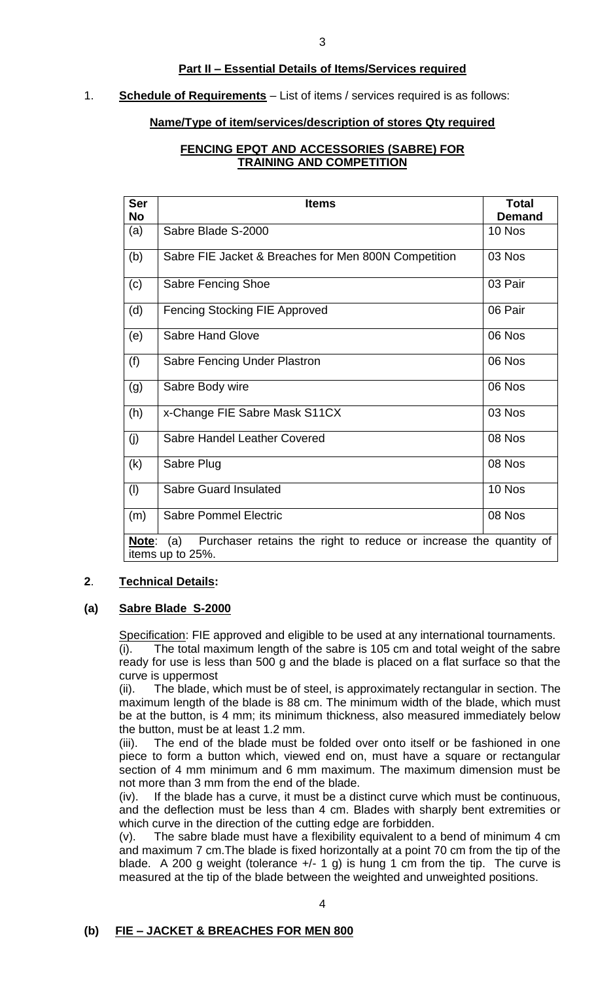### **Part II – Essential Details of Items/Services required**

### 1. **Schedule of Requirements** – List of items / services required is as follows:

### **Name/Type of item/services/description of stores Qty required**

### **FENCING EPQT AND ACCESSORIES (SABRE) FOR TRAINING AND COMPETITION**

| <b>Ser</b>                                                                        | <b>Items</b>                                         | <b>Total</b>  |  |  |
|-----------------------------------------------------------------------------------|------------------------------------------------------|---------------|--|--|
| <b>No</b>                                                                         |                                                      | <b>Demand</b> |  |  |
| (a)                                                                               | Sabre Blade S-2000                                   | 10 Nos        |  |  |
| (b)                                                                               | Sabre FIE Jacket & Breaches for Men 800N Competition | 03 Nos        |  |  |
| (c)                                                                               | Sabre Fencing Shoe                                   | 03 Pair       |  |  |
| (d)                                                                               | <b>Fencing Stocking FIE Approved</b>                 | 06 Pair       |  |  |
| (e)                                                                               | <b>Sabre Hand Glove</b>                              | 06 Nos        |  |  |
| (f)                                                                               | Sabre Fencing Under Plastron                         | 06 Nos        |  |  |
| (g)                                                                               | Sabre Body wire                                      | 06 Nos        |  |  |
| (h)                                                                               | x-Change FIE Sabre Mask S11CX                        | 03 Nos        |  |  |
| (j)                                                                               | Sabre Handel Leather Covered                         | 08 Nos        |  |  |
| (k)                                                                               | Sabre Plug                                           | 08 Nos        |  |  |
| (1)                                                                               | Sabre Guard Insulated                                | 10 Nos        |  |  |
| (m)                                                                               | <b>Sabre Pommel Electric</b>                         | 08 Nos        |  |  |
| Purchaser retains the right to reduce or increase the quantity of<br>Note:<br>(a) |                                                      |               |  |  |
| items up to 25%.                                                                  |                                                      |               |  |  |

### **2**. **Technical Details:**

### **(a) Sabre Blade S-2000**

Specification: FIE approved and eligible to be used at any international tournaments. (i). The total maximum length of the sabre is 105 cm and total weight of the sabre ready for use is less than 500 g and the blade is placed on a flat surface so that the curve is uppermost

(ii). The blade, which must be of steel, is approximately rectangular in section. The maximum length of the blade is 88 cm. The minimum width of the blade, which must be at the button, is 4 mm; its minimum thickness, also measured immediately below the button, must be at least 1.2 mm.

(iii). The end of the blade must be folded over onto itself or be fashioned in one piece to form a button which, viewed end on, must have a square or rectangular section of 4 mm minimum and 6 mm maximum. The maximum dimension must be not more than 3 mm from the end of the blade.

(iv). If the blade has a curve, it must be a distinct curve which must be continuous, and the deflection must be less than 4 cm. Blades with sharply bent extremities or which curve in the direction of the cutting edge are forbidden.

(v). The sabre blade must have a flexibility equivalent to a bend of minimum 4 cm and maximum 7 cm.The blade is fixed horizontally at a point 70 cm from the tip of the blade. A 200 g weight (tolerance  $+/- 1$  g) is hung 1 cm from the tip. The curve is measured at the tip of the blade between the weighted and unweighted positions.

# **(b) FIE – JACKET & BREACHES FOR MEN 800**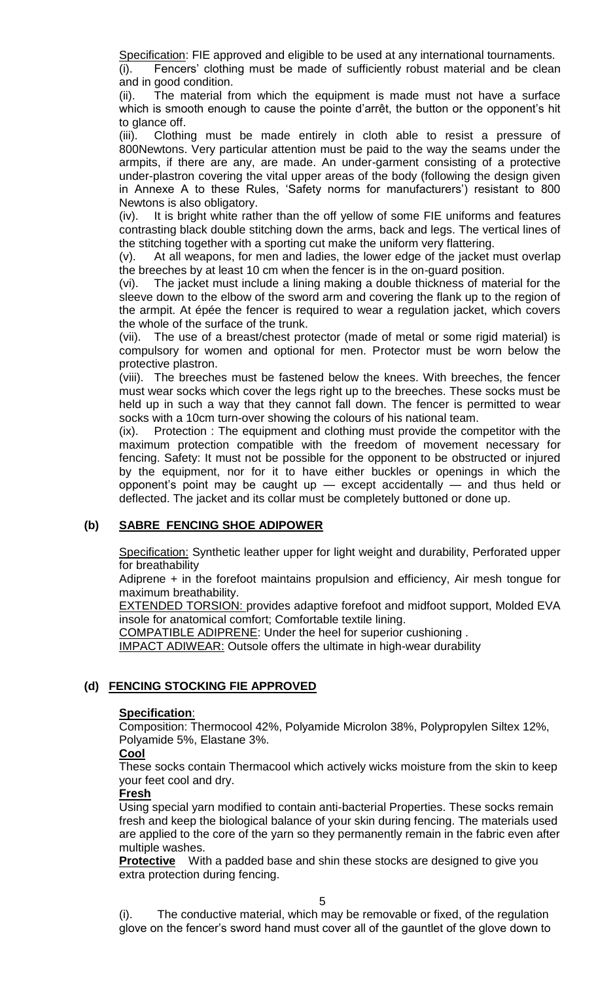Specification: FIE approved and eligible to be used at any international tournaments.

(i). Fencers' clothing must be made of sufficiently robust material and be clean and in good condition.

(ii). The material from which the equipment is made must not have a surface which is smooth enough to cause the pointe d'arrêt, the button or the opponent's hit to glance off.

(iii). Clothing must be made entirely in cloth able to resist a pressure of 800Newtons. Very particular attention must be paid to the way the seams under the armpits, if there are any, are made. An under-garment consisting of a protective under-plastron covering the vital upper areas of the body (following the design given in Annexe A to these Rules, 'Safety norms for manufacturers') resistant to 800 Newtons is also obligatory.

(iv). It is bright white rather than the off yellow of some FIE uniforms and features contrasting black double stitching down the arms, back and legs. The vertical lines of the stitching together with a sporting cut make the uniform very flattering.

(v). At all weapons, for men and ladies, the lower edge of the jacket must overlap the breeches by at least 10 cm when the fencer is in the on-guard position.

(vi). The jacket must include a lining making a double thickness of material for the sleeve down to the elbow of the sword arm and covering the flank up to the region of the armpit. At épée the fencer is required to wear a regulation jacket, which covers the whole of the surface of the trunk.

(vii). The use of a breast/chest protector (made of metal or some rigid material) is compulsory for women and optional for men. Protector must be worn below the protective plastron.

(viii). The breeches must be fastened below the knees. With breeches, the fencer must wear socks which cover the legs right up to the breeches. These socks must be held up in such a way that they cannot fall down. The fencer is permitted to wear socks with a 10cm turn-over showing the colours of his national team.

(ix). Protection : The equipment and clothing must provide the competitor with the maximum protection compatible with the freedom of movement necessary for fencing. Safety: It must not be possible for the opponent to be obstructed or injured by the equipment, nor for it to have either buckles or openings in which the opponent's point may be caught up — except accidentally — and thus held or deflected. The jacket and its collar must be completely buttoned or done up.

# **(b) SABRE FENCING SHOE ADIPOWER**

Specification: Synthetic leather upper for light weight and durability, Perforated upper for breathability

Adiprene + in the forefoot maintains propulsion and efficiency, Air mesh tongue for maximum breathability.

**EXTENDED TORSION: provides adaptive forefoot and midfoot support, Molded EVA** insole for anatomical comfort; Comfortable textile lining.

COMPATIBLE ADIPRENE: Under the heel for superior cushioning .

IMPACT ADIWEAR: Outsole offers the ultimate in high-wear durability

# **(d) FENCING STOCKING FIE APPROVED**

# **Specification**:

Composition: Thermocool 42%, Polyamide Microlon 38%, Polypropylen Siltex 12%, Polyamide 5%, Elastane 3%.

# **Cool**

These socks contain Thermacool which actively wicks moisture from the skin to keep your feet cool and dry.

# **Fresh**

Using special yarn modified to contain anti-bacterial Properties. These socks remain fresh and keep the biological balance of your skin during fencing. The materials used are applied to the core of the yarn so they permanently remain in the fabric even after multiple washes.

**Protective** With a padded base and shin these stocks are designed to give you extra protection during fencing.

(i). The conductive material, which may be removable or fixed, of the regulation glove on the fencer's sword hand must cover all of the gauntlet of the glove down to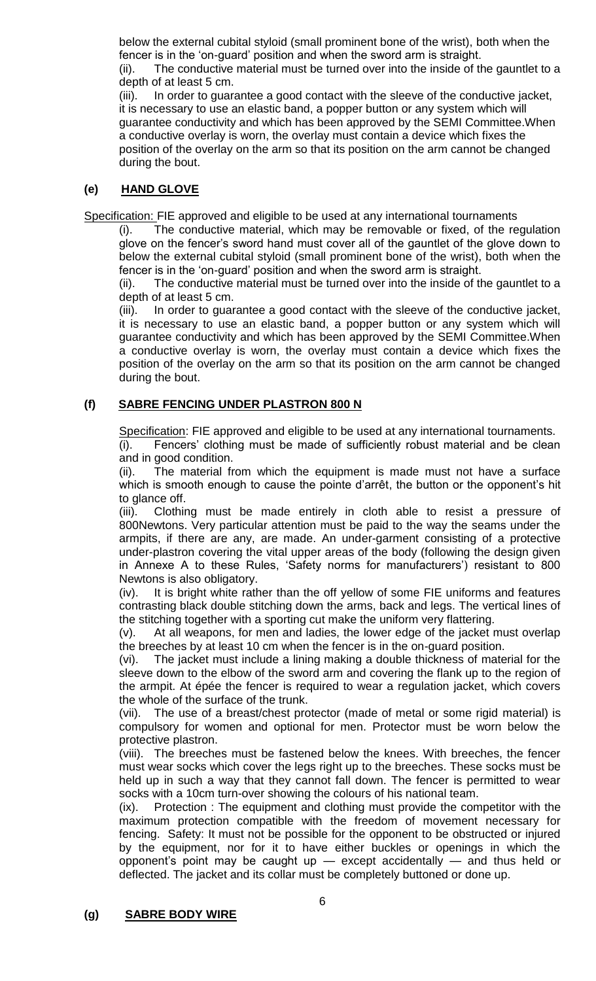below the external cubital styloid (small prominent bone of the wrist), both when the fencer is in the 'on-guard' position and when the sword arm is straight.

(ii). The conductive material must be turned over into the inside of the gauntlet to a depth of at least 5 cm.

(iii). In order to guarantee a good contact with the sleeve of the conductive jacket, it is necessary to use an elastic band, a popper button or any system which will guarantee conductivity and which has been approved by the SEMI Committee.When a conductive overlay is worn, the overlay must contain a device which fixes the position of the overlay on the arm so that its position on the arm cannot be changed during the bout.

# **(e) HAND GLOVE**

Specification: FIE approved and eligible to be used at any international tournaments

(i). The conductive material, which may be removable or fixed, of the regulation glove on the fencer's sword hand must cover all of the gauntlet of the glove down to below the external cubital styloid (small prominent bone of the wrist), both when the fencer is in the 'on-guard' position and when the sword arm is straight.

(ii). The conductive material must be turned over into the inside of the gauntlet to a depth of at least 5 cm.

(iii). In order to guarantee a good contact with the sleeve of the conductive jacket, it is necessary to use an elastic band, a popper button or any system which will guarantee conductivity and which has been approved by the SEMI Committee.When a conductive overlay is worn, the overlay must contain a device which fixes the position of the overlay on the arm so that its position on the arm cannot be changed during the bout.

# **(f) SABRE FENCING UNDER PLASTRON 800 N**

Specification: FIE approved and eligible to be used at any international tournaments.

(i). Fencers' clothing must be made of sufficiently robust material and be clean and in good condition.

(ii). The material from which the equipment is made must not have a surface which is smooth enough to cause the pointe d'arrêt, the button or the opponent's hit to glance off.

(iii). Clothing must be made entirely in cloth able to resist a pressure of 800Newtons. Very particular attention must be paid to the way the seams under the armpits, if there are any, are made. An under-garment consisting of a protective under-plastron covering the vital upper areas of the body (following the design given in Annexe A to these Rules, 'Safety norms for manufacturers') resistant to 800 Newtons is also obligatory.

(iv). It is bright white rather than the off yellow of some FIE uniforms and features contrasting black double stitching down the arms, back and legs. The vertical lines of the stitching together with a sporting cut make the uniform very flattering.

(v). At all weapons, for men and ladies, the lower edge of the jacket must overlap the breeches by at least 10 cm when the fencer is in the on-guard position.

(vi). The jacket must include a lining making a double thickness of material for the sleeve down to the elbow of the sword arm and covering the flank up to the region of the armpit. At épée the fencer is required to wear a regulation jacket, which covers the whole of the surface of the trunk.

(vii). The use of a breast/chest protector (made of metal or some rigid material) is compulsory for women and optional for men. Protector must be worn below the protective plastron.

(viii). The breeches must be fastened below the knees. With breeches, the fencer must wear socks which cover the legs right up to the breeches. These socks must be held up in such a way that they cannot fall down. The fencer is permitted to wear socks with a 10cm turn-over showing the colours of his national team.

(ix). Protection : The equipment and clothing must provide the competitor with the maximum protection compatible with the freedom of movement necessary for fencing. Safety: It must not be possible for the opponent to be obstructed or injured by the equipment, nor for it to have either buckles or openings in which the opponent's point may be caught up — except accidentally — and thus held or deflected. The jacket and its collar must be completely buttoned or done up.

# **(g) SABRE BODY WIRE**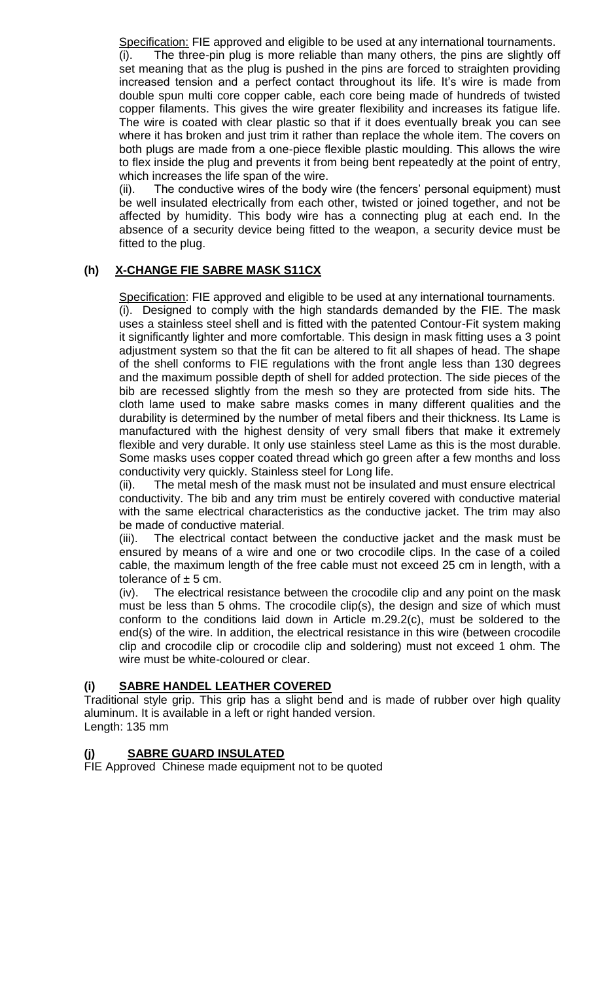Specification: FIE approved and eligible to be used at any international tournaments. (i). The three-pin plug is more reliable than many others, the pins are slightly off set meaning that as the plug is pushed in the pins are forced to straighten providing increased tension and a perfect contact throughout its life. It's wire is made from double spun multi core copper cable, each core being made of hundreds of twisted copper filaments. This gives the wire greater flexibility and increases its fatigue life. The wire is coated with clear plastic so that if it does eventually break you can see where it has broken and just trim it rather than replace the whole item. The covers on both plugs are made from a one-piece flexible plastic moulding. This allows the wire to flex inside the plug and prevents it from being bent repeatedly at the point of entry, which increases the life span of the wire.

(ii). The conductive wires of the body wire (the fencers' personal equipment) must be well insulated electrically from each other, twisted or joined together, and not be affected by humidity. This body wire has a connecting plug at each end. In the absence of a security device being fitted to the weapon, a security device must be fitted to the plug.

# **(h) X-CHANGE FIE SABRE MASK S11CX**

Specification: FIE approved and eligible to be used at any international tournaments. (i). Designed to comply with the high standards demanded by the FIE. The mask uses a stainless steel shell and is fitted with the patented Contour-Fit system making it significantly lighter and more comfortable. This design in mask fitting uses a 3 point adjustment system so that the fit can be altered to fit all shapes of head. The shape of the shell conforms to FIE regulations with the front angle less than 130 degrees and the maximum possible depth of shell for added protection. The side pieces of the bib are recessed slightly from the mesh so they are protected from side hits. The cloth lame used to make sabre masks comes in many different qualities and the durability is determined by the number of metal fibers and their thickness. Its Lame is manufactured with the highest density of very small fibers that make it extremely flexible and very durable. It only use stainless steel Lame as this is the most durable. Some masks uses copper coated thread which go green after a few months and loss conductivity very quickly. Stainless steel for Long life.

(ii). The metal mesh of the mask must not be insulated and must ensure electrical conductivity. The bib and any trim must be entirely covered with conductive material with the same electrical characteristics as the conductive jacket. The trim may also be made of conductive material.

(iii). The electrical contact between the conductive jacket and the mask must be ensured by means of a wire and one or two crocodile clips. In the case of a coiled cable, the maximum length of the free cable must not exceed 25 cm in length, with a tolerance of  $\pm$  5 cm.

(iv). The electrical resistance between the crocodile clip and any point on the mask must be less than 5 ohms. The crocodile clip(s), the design and size of which must conform to the conditions laid down in Article m.29.2(c), must be soldered to the end(s) of the wire. In addition, the electrical resistance in this wire (between crocodile clip and crocodile clip or crocodile clip and soldering) must not exceed 1 ohm. The wire must be white-coloured or clear.

# **(i) SABRE HANDEL LEATHER COVERED**

Traditional style grip. This grip has a slight bend and is made of rubber over high quality aluminum. It is available in a left or right handed version. Length: 135 mm

# **SABRE GUARD INSULATED**

FIE Approved Chinese made equipment not to be quoted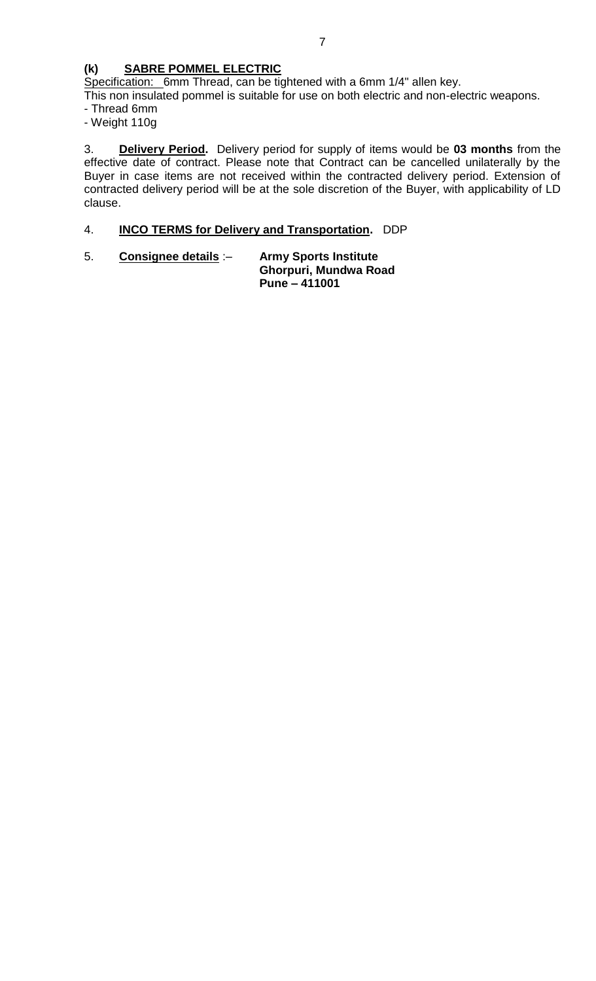# **(k) SABRE POMMEL ELECTRIC**

Specification: 6mm Thread, can be tightened with a 6mm 1/4" allen key.

This non insulated pommel is suitable for use on both electric and non-electric weapons.

- Thread 6mm
- Weight 110g

3. **Delivery Period.** Delivery period for supply of items would be **03 months** from the effective date of contract. Please note that Contract can be cancelled unilaterally by the Buyer in case items are not received within the contracted delivery period. Extension of contracted delivery period will be at the sole discretion of the Buyer, with applicability of LD clause.

# 4. **INCO TERMS for Delivery and Transportation.** DDP

5. **Consignee details** :– **Army Sports Institute Ghorpuri, Mundwa Road Pune – 411001**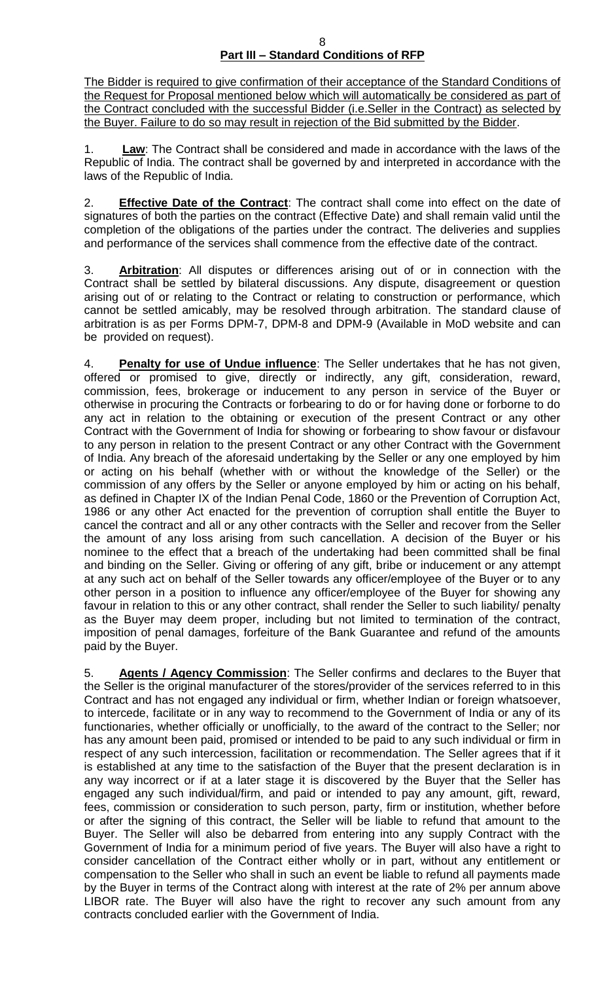#### 8 **Part III – Standard Conditions of RFP**

The Bidder is required to give confirmation of their acceptance of the Standard Conditions of the Request for Proposal mentioned below which will automatically be considered as part of the Contract concluded with the successful Bidder (i.e.Seller in the Contract) as selected by the Buyer. Failure to do so may result in rejection of the Bid submitted by the Bidder.

1. **Law**: The Contract shall be considered and made in accordance with the laws of the Republic of India. The contract shall be governed by and interpreted in accordance with the laws of the Republic of India.

2. **Effective Date of the Contract**: The contract shall come into effect on the date of signatures of both the parties on the contract (Effective Date) and shall remain valid until the completion of the obligations of the parties under the contract. The deliveries and supplies and performance of the services shall commence from the effective date of the contract.

3. **Arbitration**: All disputes or differences arising out of or in connection with the Contract shall be settled by bilateral discussions. Any dispute, disagreement or question arising out of or relating to the Contract or relating to construction or performance, which cannot be settled amicably, may be resolved through arbitration. The standard clause of arbitration is as per Forms DPM-7, DPM-8 and DPM-9 (Available in MoD website and can be provided on request).

4. **Penalty for use of Undue influence**: The Seller undertakes that he has not given, offered or promised to give, directly or indirectly, any gift, consideration, reward, commission, fees, brokerage or inducement to any person in service of the Buyer or otherwise in procuring the Contracts or forbearing to do or for having done or forborne to do any act in relation to the obtaining or execution of the present Contract or any other Contract with the Government of India for showing or forbearing to show favour or disfavour to any person in relation to the present Contract or any other Contract with the Government of India. Any breach of the aforesaid undertaking by the Seller or any one employed by him or acting on his behalf (whether with or without the knowledge of the Seller) or the commission of any offers by the Seller or anyone employed by him or acting on his behalf, as defined in Chapter IX of the Indian Penal Code, 1860 or the Prevention of Corruption Act, 1986 or any other Act enacted for the prevention of corruption shall entitle the Buyer to cancel the contract and all or any other contracts with the Seller and recover from the Seller the amount of any loss arising from such cancellation. A decision of the Buyer or his nominee to the effect that a breach of the undertaking had been committed shall be final and binding on the Seller. Giving or offering of any gift, bribe or inducement or any attempt at any such act on behalf of the Seller towards any officer/employee of the Buyer or to any other person in a position to influence any officer/employee of the Buyer for showing any favour in relation to this or any other contract, shall render the Seller to such liability/ penalty as the Buyer may deem proper, including but not limited to termination of the contract, imposition of penal damages, forfeiture of the Bank Guarantee and refund of the amounts paid by the Buyer.

5. **Agents / Agency Commission**: The Seller confirms and declares to the Buyer that the Seller is the original manufacturer of the stores/provider of the services referred to in this Contract and has not engaged any individual or firm, whether Indian or foreign whatsoever, to intercede, facilitate or in any way to recommend to the Government of India or any of its functionaries, whether officially or unofficially, to the award of the contract to the Seller; nor has any amount been paid, promised or intended to be paid to any such individual or firm in respect of any such intercession, facilitation or recommendation. The Seller agrees that if it is established at any time to the satisfaction of the Buyer that the present declaration is in any way incorrect or if at a later stage it is discovered by the Buyer that the Seller has engaged any such individual/firm, and paid or intended to pay any amount, gift, reward, fees, commission or consideration to such person, party, firm or institution, whether before or after the signing of this contract, the Seller will be liable to refund that amount to the Buyer. The Seller will also be debarred from entering into any supply Contract with the Government of India for a minimum period of five years. The Buyer will also have a right to consider cancellation of the Contract either wholly or in part, without any entitlement or compensation to the Seller who shall in such an event be liable to refund all payments made by the Buyer in terms of the Contract along with interest at the rate of 2% per annum above LIBOR rate. The Buyer will also have the right to recover any such amount from any contracts concluded earlier with the Government of India.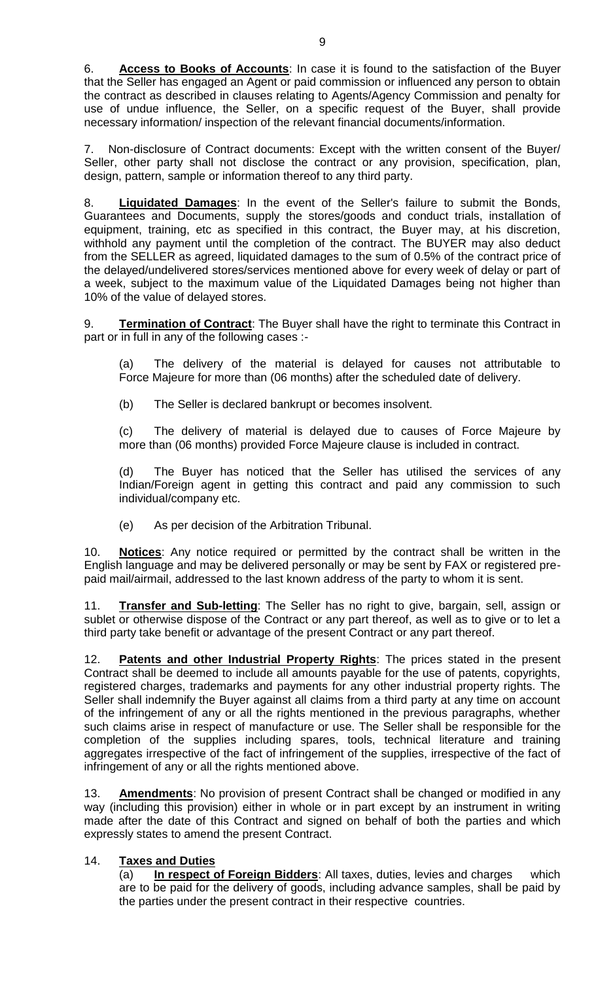6. **Access to Books of Accounts**: In case it is found to the satisfaction of the Buyer that the Seller has engaged an Agent or paid commission or influenced any person to obtain the contract as described in clauses relating to Agents/Agency Commission and penalty for use of undue influence, the Seller, on a specific request of the Buyer, shall provide necessary information/ inspection of the relevant financial documents/information.

7. Non-disclosure of Contract documents: Except with the written consent of the Buyer/ Seller, other party shall not disclose the contract or any provision, specification, plan, design, pattern, sample or information thereof to any third party.

8. **Liquidated Damages**: In the event of the Seller's failure to submit the Bonds, Guarantees and Documents, supply the stores/goods and conduct trials, installation of equipment, training, etc as specified in this contract, the Buyer may, at his discretion, withhold any payment until the completion of the contract. The BUYER may also deduct from the SELLER as agreed, liquidated damages to the sum of 0.5% of the contract price of the delayed/undelivered stores/services mentioned above for every week of delay or part of a week, subject to the maximum value of the Liquidated Damages being not higher than 10% of the value of delayed stores.

9. **Termination of Contract**: The Buyer shall have the right to terminate this Contract in part or in full in any of the following cases :-

(a) The delivery of the material is delayed for causes not attributable to Force Majeure for more than (06 months) after the scheduled date of delivery.

(b) The Seller is declared bankrupt or becomes insolvent.

(c) The delivery of material is delayed due to causes of Force Majeure by more than (06 months) provided Force Majeure clause is included in contract.

(d) The Buyer has noticed that the Seller has utilised the services of any Indian/Foreign agent in getting this contract and paid any commission to such individual/company etc.

(e) As per decision of the Arbitration Tribunal.

10. **Notices**: Any notice required or permitted by the contract shall be written in the English language and may be delivered personally or may be sent by FAX or registered prepaid mail/airmail, addressed to the last known address of the party to whom it is sent.

11. **Transfer and Sub-letting**: The Seller has no right to give, bargain, sell, assign or sublet or otherwise dispose of the Contract or any part thereof, as well as to give or to let a third party take benefit or advantage of the present Contract or any part thereof.

12. **Patents and other Industrial Property Rights**: The prices stated in the present Contract shall be deemed to include all amounts payable for the use of patents, copyrights, registered charges, trademarks and payments for any other industrial property rights. The Seller shall indemnify the Buyer against all claims from a third party at any time on account of the infringement of any or all the rights mentioned in the previous paragraphs, whether such claims arise in respect of manufacture or use. The Seller shall be responsible for the completion of the supplies including spares, tools, technical literature and training aggregates irrespective of the fact of infringement of the supplies, irrespective of the fact of infringement of any or all the rights mentioned above.

13. **Amendments**: No provision of present Contract shall be changed or modified in any way (including this provision) either in whole or in part except by an instrument in writing made after the date of this Contract and signed on behalf of both the parties and which expressly states to amend the present Contract.

# 14. **Taxes and Duties**

(a) **In respect of Foreign Bidders**: All taxes, duties, levies and charges which are to be paid for the delivery of goods, including advance samples, shall be paid by the parties under the present contract in their respective countries.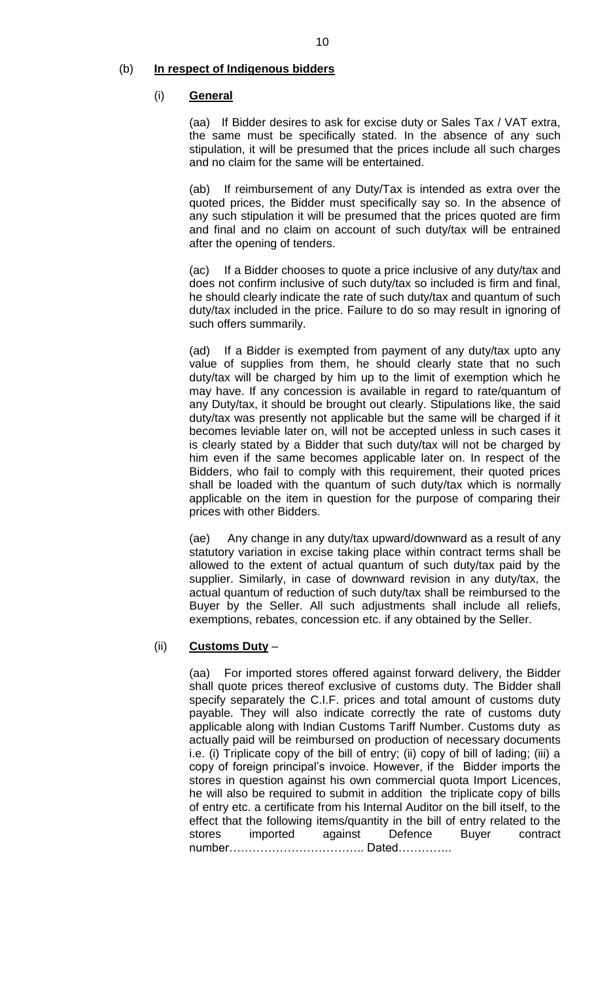### (b) **In respect of Indigenous bidders**

### (i) **General**

(aa) If Bidder desires to ask for excise duty or Sales Tax / VAT extra, the same must be specifically stated. In the absence of any such stipulation, it will be presumed that the prices include all such charges and no claim for the same will be entertained.

(ab) If reimbursement of any Duty/Tax is intended as extra over the quoted prices, the Bidder must specifically say so. In the absence of any such stipulation it will be presumed that the prices quoted are firm and final and no claim on account of such duty/tax will be entrained after the opening of tenders.

(ac) If a Bidder chooses to quote a price inclusive of any duty/tax and does not confirm inclusive of such duty/tax so included is firm and final, he should clearly indicate the rate of such duty/tax and quantum of such duty/tax included in the price. Failure to do so may result in ignoring of such offers summarily.

(ad) If a Bidder is exempted from payment of any duty/tax upto any value of supplies from them, he should clearly state that no such duty/tax will be charged by him up to the limit of exemption which he may have. If any concession is available in regard to rate/quantum of any Duty/tax, it should be brought out clearly. Stipulations like, the said duty/tax was presently not applicable but the same will be charged if it becomes leviable later on, will not be accepted unless in such cases it is clearly stated by a Bidder that such duty/tax will not be charged by him even if the same becomes applicable later on. In respect of the Bidders, who fail to comply with this requirement, their quoted prices shall be loaded with the quantum of such duty/tax which is normally applicable on the item in question for the purpose of comparing their prices with other Bidders.

(ae) Any change in any duty/tax upward/downward as a result of any statutory variation in excise taking place within contract terms shall be allowed to the extent of actual quantum of such duty/tax paid by the supplier. Similarly, in case of downward revision in any duty/tax, the actual quantum of reduction of such duty/tax shall be reimbursed to the Buyer by the Seller. All such adjustments shall include all reliefs, exemptions, rebates, concession etc. if any obtained by the Seller.

# (ii) **Customs Duty** –

(aa) For imported stores offered against forward delivery, the Bidder shall quote prices thereof exclusive of customs duty. The Bidder shall specify separately the C.I.F. prices and total amount of customs duty payable. They will also indicate correctly the rate of customs duty applicable along with Indian Customs Tariff Number. Customs duty as actually paid will be reimbursed on production of necessary documents i.e. (i) Triplicate copy of the bill of entry; (ii) copy of bill of lading; (iii) a copy of foreign principal's invoice. However, if the Bidder imports the stores in question against his own commercial quota Import Licences, he will also be required to submit in addition the triplicate copy of bills of entry etc. a certificate from his Internal Auditor on the bill itself, to the effect that the following items/quantity in the bill of entry related to the stores imported against Defence Buyer contract number…………………………….. Dated…………..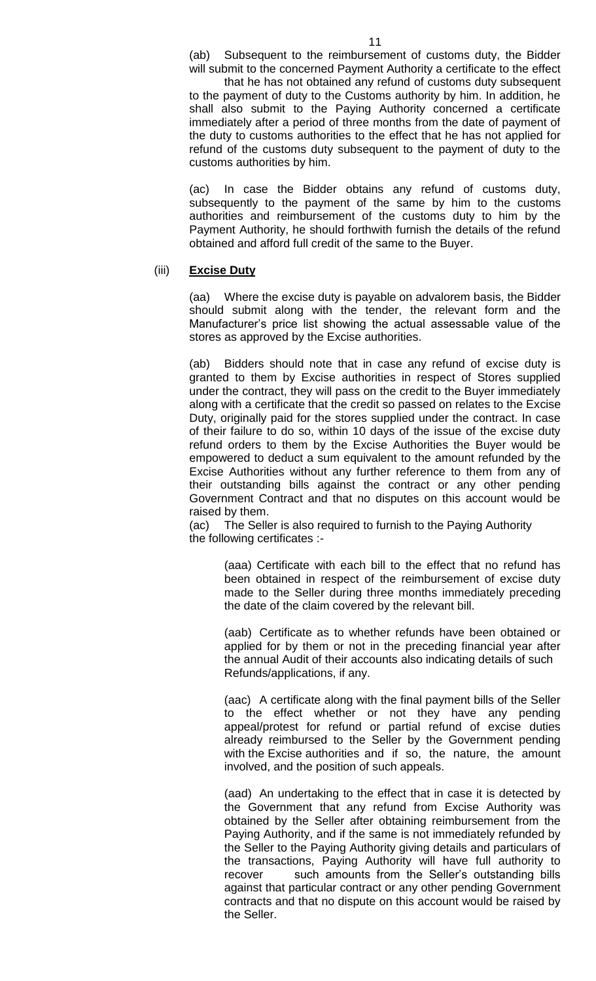that he has not obtained any refund of customs duty subsequent to the payment of duty to the Customs authority by him. In addition, he shall also submit to the Paying Authority concerned a certificate immediately after a period of three months from the date of payment of the duty to customs authorities to the effect that he has not applied for refund of the customs duty subsequent to the payment of duty to the customs authorities by him.

(ac) In case the Bidder obtains any refund of customs duty, subsequently to the payment of the same by him to the customs authorities and reimbursement of the customs duty to him by the Payment Authority, he should forthwith furnish the details of the refund obtained and afford full credit of the same to the Buyer.

### (iii) **Excise Duty**

(aa) Where the excise duty is payable on advalorem basis, the Bidder should submit along with the tender, the relevant form and the Manufacturer's price list showing the actual assessable value of the stores as approved by the Excise authorities.

(ab) Bidders should note that in case any refund of excise duty is granted to them by Excise authorities in respect of Stores supplied under the contract, they will pass on the credit to the Buyer immediately along with a certificate that the credit so passed on relates to the Excise Duty, originally paid for the stores supplied under the contract. In case of their failure to do so, within 10 days of the issue of the excise duty refund orders to them by the Excise Authorities the Buyer would be empowered to deduct a sum equivalent to the amount refunded by the Excise Authorities without any further reference to them from any of their outstanding bills against the contract or any other pending Government Contract and that no disputes on this account would be raised by them.

(ac) The Seller is also required to furnish to the Paying Authority the following certificates :-

> (aaa) Certificate with each bill to the effect that no refund has been obtained in respect of the reimbursement of excise duty made to the Seller during three months immediately preceding the date of the claim covered by the relevant bill.

> (aab) Certificate as to whether refunds have been obtained or applied for by them or not in the preceding financial year after the annual Audit of their accounts also indicating details of such Refunds/applications, if any.

> (aac) A certificate along with the final payment bills of the Seller to the effect whether or not they have any pending appeal/protest for refund or partial refund of excise duties already reimbursed to the Seller by the Government pending with the Excise authorities and if so, the nature, the amount involved, and the position of such appeals.

> (aad) An undertaking to the effect that in case it is detected by the Government that any refund from Excise Authority was obtained by the Seller after obtaining reimbursement from the Paying Authority, and if the same is not immediately refunded by the Seller to the Paying Authority giving details and particulars of the transactions, Paying Authority will have full authority to recover such amounts from the Seller's outstanding bills against that particular contract or any other pending Government contracts and that no dispute on this account would be raised by the Seller.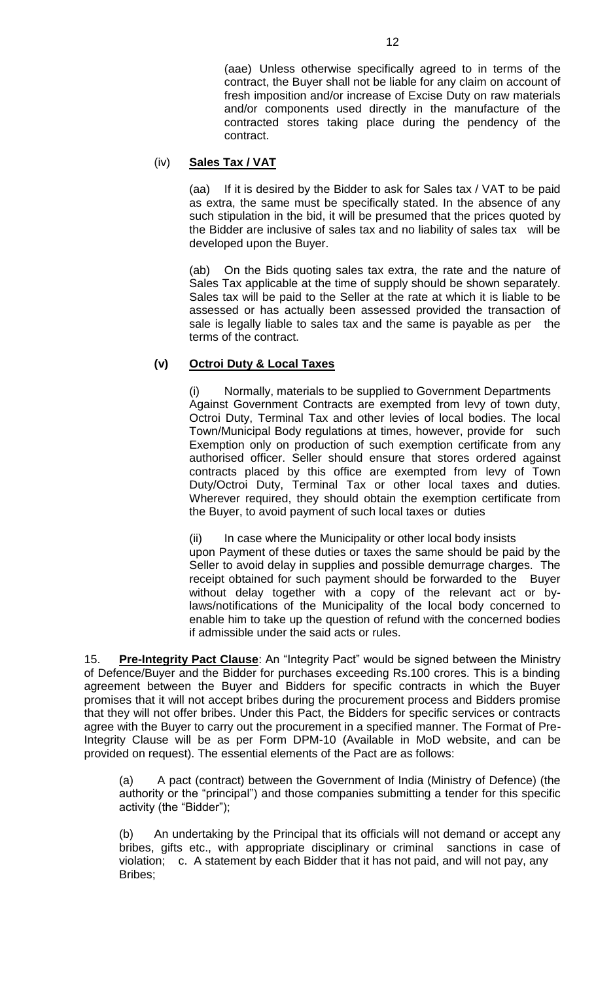(aae) Unless otherwise specifically agreed to in terms of the contract, the Buyer shall not be liable for any claim on account of fresh imposition and/or increase of Excise Duty on raw materials and/or components used directly in the manufacture of the contracted stores taking place during the pendency of the contract.

### (iv) **Sales Tax / VAT**

(aa) If it is desired by the Bidder to ask for Sales tax / VAT to be paid as extra, the same must be specifically stated. In the absence of any such stipulation in the bid, it will be presumed that the prices quoted by the Bidder are inclusive of sales tax and no liability of sales tax will be developed upon the Buyer.

(ab) On the Bids quoting sales tax extra, the rate and the nature of Sales Tax applicable at the time of supply should be shown separately. Sales tax will be paid to the Seller at the rate at which it is liable to be assessed or has actually been assessed provided the transaction of sale is legally liable to sales tax and the same is payable as per the terms of the contract.

# **(v) Octroi Duty & Local Taxes**

(i) Normally, materials to be supplied to Government Departments Against Government Contracts are exempted from levy of town duty, Octroi Duty, Terminal Tax and other levies of local bodies. The local Town/Municipal Body regulations at times, however, provide for such Exemption only on production of such exemption certificate from any authorised officer. Seller should ensure that stores ordered against contracts placed by this office are exempted from levy of Town Duty/Octroi Duty, Terminal Tax or other local taxes and duties. Wherever required, they should obtain the exemption certificate from the Buyer, to avoid payment of such local taxes or duties

(ii) In case where the Municipality or other local body insists upon Payment of these duties or taxes the same should be paid by the Seller to avoid delay in supplies and possible demurrage charges. The receipt obtained for such payment should be forwarded to the Buyer without delay together with a copy of the relevant act or bylaws/notifications of the Municipality of the local body concerned to enable him to take up the question of refund with the concerned bodies if admissible under the said acts or rules.

15. **Pre-Integrity Pact Clause**: An "Integrity Pact" would be signed between the Ministry of Defence/Buyer and the Bidder for purchases exceeding Rs.100 crores. This is a binding agreement between the Buyer and Bidders for specific contracts in which the Buyer promises that it will not accept bribes during the procurement process and Bidders promise that they will not offer bribes. Under this Pact, the Bidders for specific services or contracts agree with the Buyer to carry out the procurement in a specified manner. The Format of Pre-Integrity Clause will be as per Form DPM-10 (Available in MoD website, and can be provided on request). The essential elements of the Pact are as follows:

(a) A pact (contract) between the Government of India (Ministry of Defence) (the authority or the "principal") and those companies submitting a tender for this specific activity (the "Bidder");

(b) An undertaking by the Principal that its officials will not demand or accept any bribes, gifts etc., with appropriate disciplinary or criminal sanctions in case of violation; c. A statement by each Bidder that it has not paid, and will not pay, any Bribes;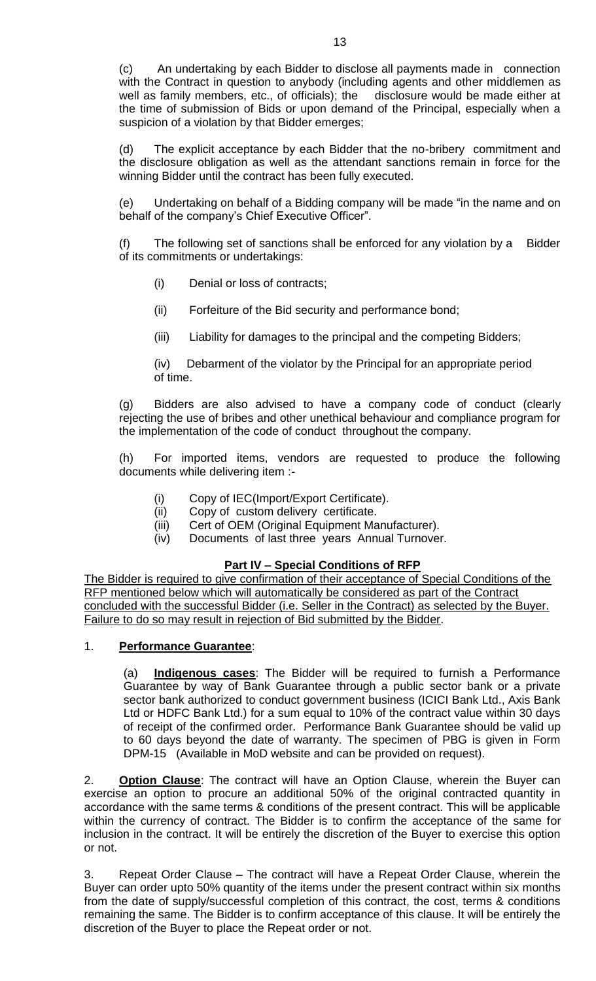(c) An undertaking by each Bidder to disclose all payments made in connection with the Contract in question to anybody (including agents and other middlemen as well as family members, etc., of officials); the disclosure would be made either at the time of submission of Bids or upon demand of the Principal, especially when a suspicion of a violation by that Bidder emerges;

(d) The explicit acceptance by each Bidder that the no-bribery commitment and the disclosure obligation as well as the attendant sanctions remain in force for the winning Bidder until the contract has been fully executed.

(e) Undertaking on behalf of a Bidding company will be made "in the name and on behalf of the company's Chief Executive Officer".

(f) The following set of sanctions shall be enforced for any violation by a Bidder of its commitments or undertakings:

- (i) Denial or loss of contracts;
- (ii) Forfeiture of the Bid security and performance bond;
- (iii) Liability for damages to the principal and the competing Bidders;

(iv) Debarment of the violator by the Principal for an appropriate period of time.

(g) Bidders are also advised to have a company code of conduct (clearly rejecting the use of bribes and other unethical behaviour and compliance program for the implementation of the code of conduct throughout the company.

(h) For imported items, vendors are requested to produce the following documents while delivering item :-

- (i) Copy of IEC(Import/Export Certificate).
- (ii) Copy of custom delivery certificate.
- (iii) Cert of OEM (Original Equipment Manufacturer).
- (iv) Documents of last three years Annual Turnover.

# **Part IV – Special Conditions of RFP**

The Bidder is required to give confirmation of their acceptance of Special Conditions of the RFP mentioned below which will automatically be considered as part of the Contract concluded with the successful Bidder (i.e. Seller in the Contract) as selected by the Buyer. Failure to do so may result in rejection of Bid submitted by the Bidder.

# 1. **Performance Guarantee**:

(a) **Indigenous cases**: The Bidder will be required to furnish a Performance Guarantee by way of Bank Guarantee through a public sector bank or a private sector bank authorized to conduct government business (ICICI Bank Ltd., Axis Bank Ltd or HDFC Bank Ltd.) for a sum equal to 10% of the contract value within 30 days of receipt of the confirmed order. Performance Bank Guarantee should be valid up to 60 days beyond the date of warranty. The specimen of PBG is given in Form DPM-15 (Available in MoD website and can be provided on request).

2. **Option Clause**: The contract will have an Option Clause, wherein the Buyer can exercise an option to procure an additional 50% of the original contracted quantity in accordance with the same terms & conditions of the present contract. This will be applicable within the currency of contract. The Bidder is to confirm the acceptance of the same for inclusion in the contract. It will be entirely the discretion of the Buyer to exercise this option or not.

3. Repeat Order Clause – The contract will have a Repeat Order Clause, wherein the Buyer can order upto 50% quantity of the items under the present contract within six months from the date of supply/successful completion of this contract, the cost, terms & conditions remaining the same. The Bidder is to confirm acceptance of this clause. It will be entirely the discretion of the Buyer to place the Repeat order or not.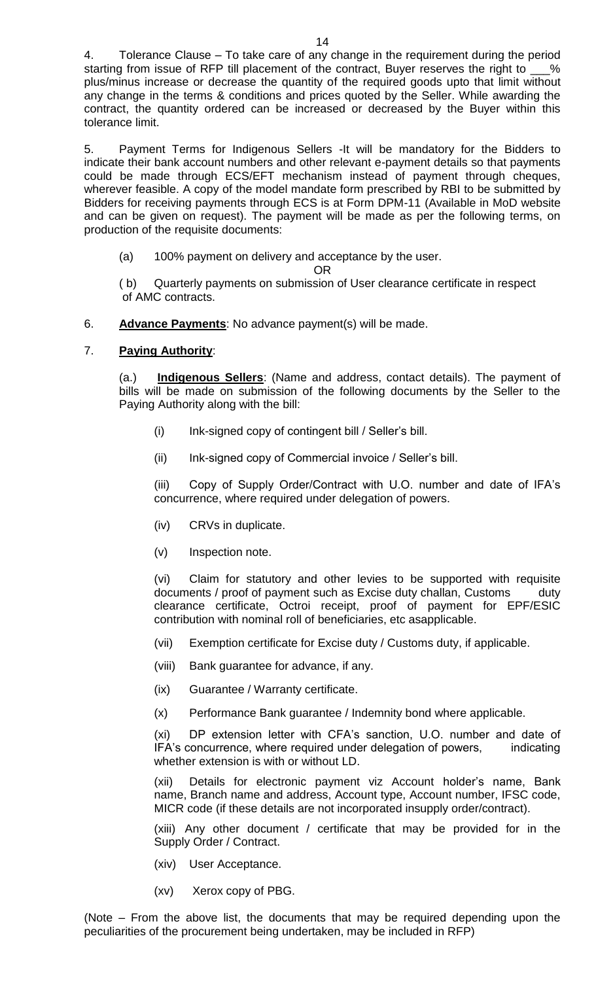4. Tolerance Clause – To take care of any change in the requirement during the period starting from issue of RFP till placement of the contract, Buyer reserves the right to \_\_\_% plus/minus increase or decrease the quantity of the required goods upto that limit without any change in the terms & conditions and prices quoted by the Seller. While awarding the contract, the quantity ordered can be increased or decreased by the Buyer within this tolerance limit.

5. Payment Terms for Indigenous Sellers -It will be mandatory for the Bidders to indicate their bank account numbers and other relevant e-payment details so that payments could be made through ECS/EFT mechanism instead of payment through cheques, wherever feasible. A copy of the model mandate form prescribed by RBI to be submitted by Bidders for receiving payments through ECS is at Form DPM-11 (Available in MoD website and can be given on request). The payment will be made as per the following terms, on production of the requisite documents:

(a) 100% payment on delivery and acceptance by the user.

OR

 ( b) Quarterly payments on submission of User clearance certificate in respect of AMC contracts.

6. **Advance Payments**: No advance payment(s) will be made.

# 7. **Paying Authority**:

(a.) **Indigenous Sellers**: (Name and address, contact details). The payment of bills will be made on submission of the following documents by the Seller to the Paying Authority along with the bill:

- (i) Ink-signed copy of contingent bill / Seller's bill.
- (ii) Ink-signed copy of Commercial invoice / Seller's bill.

(iii) Copy of Supply Order/Contract with U.O. number and date of IFA's concurrence, where required under delegation of powers.

- (iv) CRVs in duplicate.
- (v) Inspection note.

(vi) Claim for statutory and other levies to be supported with requisite documents / proof of payment such as Excise duty challan, Customs duty clearance certificate, Octroi receipt, proof of payment for EPF/ESIC contribution with nominal roll of beneficiaries, etc asapplicable.

- (vii) Exemption certificate for Excise duty / Customs duty, if applicable.
- (viii) Bank guarantee for advance, if any.
- (ix) Guarantee / Warranty certificate.
- (x) Performance Bank guarantee / Indemnity bond where applicable.

(xi) DP extension letter with CFA's sanction, U.O. number and date of IFA's concurrence, where required under delegation of powers, indicating whether extension is with or without LD.

(xii) Details for electronic payment viz Account holder's name, Bank name, Branch name and address, Account type, Account number, IFSC code, MICR code (if these details are not incorporated insupply order/contract).

(xiii) Any other document / certificate that may be provided for in the Supply Order / Contract.

- (xiv) User Acceptance.
- (xv) Xerox copy of PBG.

(Note – From the above list, the documents that may be required depending upon the peculiarities of the procurement being undertaken, may be included in RFP)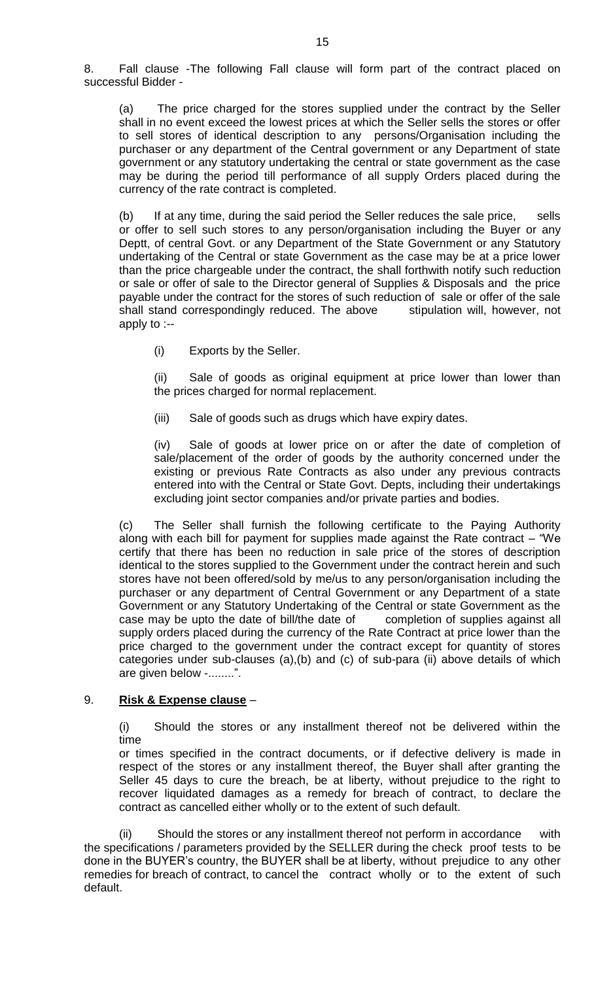8. Fall clause -The following Fall clause will form part of the contract placed on successful Bidder -

(a) The price charged for the stores supplied under the contract by the Seller shall in no event exceed the lowest prices at which the Seller sells the stores or offer to sell stores of identical description to any persons/Organisation including the purchaser or any department of the Central government or any Department of state government or any statutory undertaking the central or state government as the case may be during the period till performance of all supply Orders placed during the currency of the rate contract is completed.

(b) If at any time, during the said period the Seller reduces the sale price, sells or offer to sell such stores to any person/organisation including the Buyer or any Deptt, of central Govt. or any Department of the State Government or any Statutory undertaking of the Central or state Government as the case may be at a price lower than the price chargeable under the contract, the shall forthwith notify such reduction or sale or offer of sale to the Director general of Supplies & Disposals and the price payable under the contract for the stores of such reduction of sale or offer of the sale shall stand correspondingly reduced. The above stipulation will, however, not apply to :--

(i) Exports by the Seller.

(ii) Sale of goods as original equipment at price lower than lower than the prices charged for normal replacement.

(iii) Sale of goods such as drugs which have expiry dates.

(iv) Sale of goods at lower price on or after the date of completion of sale/placement of the order of goods by the authority concerned under the existing or previous Rate Contracts as also under any previous contracts entered into with the Central or State Govt. Depts, including their undertakings excluding joint sector companies and/or private parties and bodies.

(c) The Seller shall furnish the following certificate to the Paying Authority along with each bill for payment for supplies made against the Rate contract  $-$  "We certify that there has been no reduction in sale price of the stores of description identical to the stores supplied to the Government under the contract herein and such stores have not been offered/sold by me/us to any person/organisation including the purchaser or any department of Central Government or any Department of a state Government or any Statutory Undertaking of the Central or state Government as the case may be upto the date of bill/the date of completion of supplies against all supply orders placed during the currency of the Rate Contract at price lower than the price charged to the government under the contract except for quantity of stores categories under sub-clauses (a),(b) and (c) of sub-para (ii) above details of which are given below -........".

# 9. **Risk & Expense clause** –

(i) Should the stores or any installment thereof not be delivered within the time

or times specified in the contract documents, or if defective delivery is made in respect of the stores or any installment thereof, the Buyer shall after granting the Seller 45 days to cure the breach, be at liberty, without prejudice to the right to recover liquidated damages as a remedy for breach of contract, to declare the contract as cancelled either wholly or to the extent of such default.

 (ii) Should the stores or any installment thereof not perform in accordance with the specifications / parameters provided by the SELLER during the check proof tests to be done in the BUYER's country, the BUYER shall be at liberty, without prejudice to any other remedies for breach of contract, to cancel the contract wholly or to the extent of such default.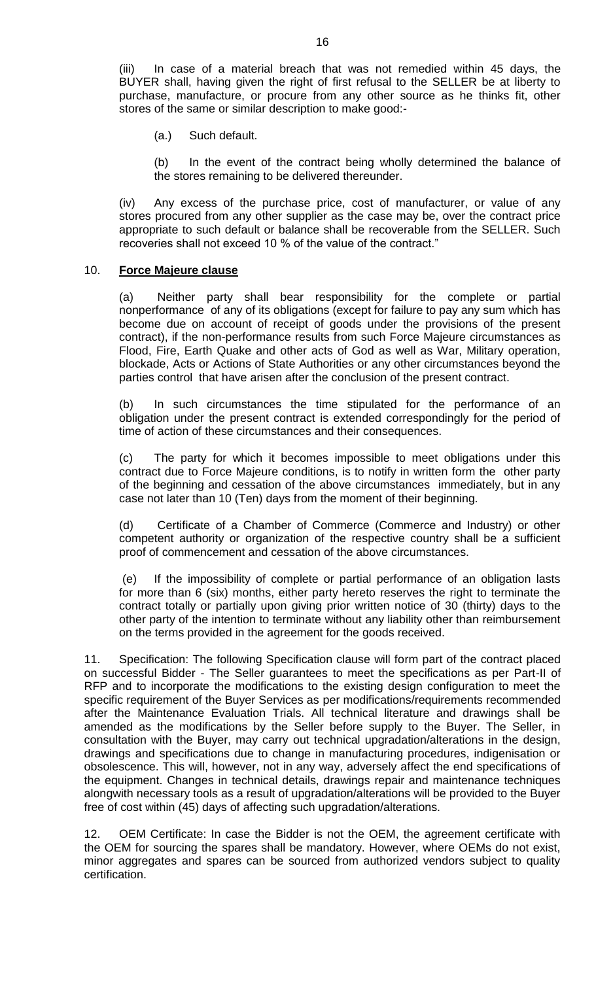(iii) In case of a material breach that was not remedied within 45 days, the BUYER shall, having given the right of first refusal to the SELLER be at liberty to purchase, manufacture, or procure from any other source as he thinks fit, other stores of the same or similar description to make good:-

(a.) Such default.

(b) In the event of the contract being wholly determined the balance of the stores remaining to be delivered thereunder.

(iv) Any excess of the purchase price, cost of manufacturer, or value of any stores procured from any other supplier as the case may be, over the contract price appropriate to such default or balance shall be recoverable from the SELLER. Such recoveries shall not exceed 10 % of the value of the contract."

### 10. **Force Majeure clause**

(a) Neither party shall bear responsibility for the complete or partial nonperformance of any of its obligations (except for failure to pay any sum which has become due on account of receipt of goods under the provisions of the present contract), if the non-performance results from such Force Majeure circumstances as Flood, Fire, Earth Quake and other acts of God as well as War, Military operation, blockade, Acts or Actions of State Authorities or any other circumstances beyond the parties control that have arisen after the conclusion of the present contract.

(b) In such circumstances the time stipulated for the performance of an obligation under the present contract is extended correspondingly for the period of time of action of these circumstances and their consequences.

(c) The party for which it becomes impossible to meet obligations under this contract due to Force Majeure conditions, is to notify in written form the other party of the beginning and cessation of the above circumstances immediately, but in any case not later than 10 (Ten) days from the moment of their beginning.

(d) Certificate of a Chamber of Commerce (Commerce and Industry) or other competent authority or organization of the respective country shall be a sufficient proof of commencement and cessation of the above circumstances.

(e) If the impossibility of complete or partial performance of an obligation lasts for more than 6 (six) months, either party hereto reserves the right to terminate the contract totally or partially upon giving prior written notice of 30 (thirty) days to the other party of the intention to terminate without any liability other than reimbursement on the terms provided in the agreement for the goods received.

11. Specification: The following Specification clause will form part of the contract placed on successful Bidder - The Seller guarantees to meet the specifications as per Part-II of RFP and to incorporate the modifications to the existing design configuration to meet the specific requirement of the Buyer Services as per modifications/requirements recommended after the Maintenance Evaluation Trials. All technical literature and drawings shall be amended as the modifications by the Seller before supply to the Buyer. The Seller, in consultation with the Buyer, may carry out technical upgradation/alterations in the design, drawings and specifications due to change in manufacturing procedures, indigenisation or obsolescence. This will, however, not in any way, adversely affect the end specifications of the equipment. Changes in technical details, drawings repair and maintenance techniques alongwith necessary tools as a result of upgradation/alterations will be provided to the Buyer free of cost within (45) days of affecting such upgradation/alterations.

12. OEM Certificate: In case the Bidder is not the OEM, the agreement certificate with the OEM for sourcing the spares shall be mandatory. However, where OEMs do not exist, minor aggregates and spares can be sourced from authorized vendors subject to quality certification.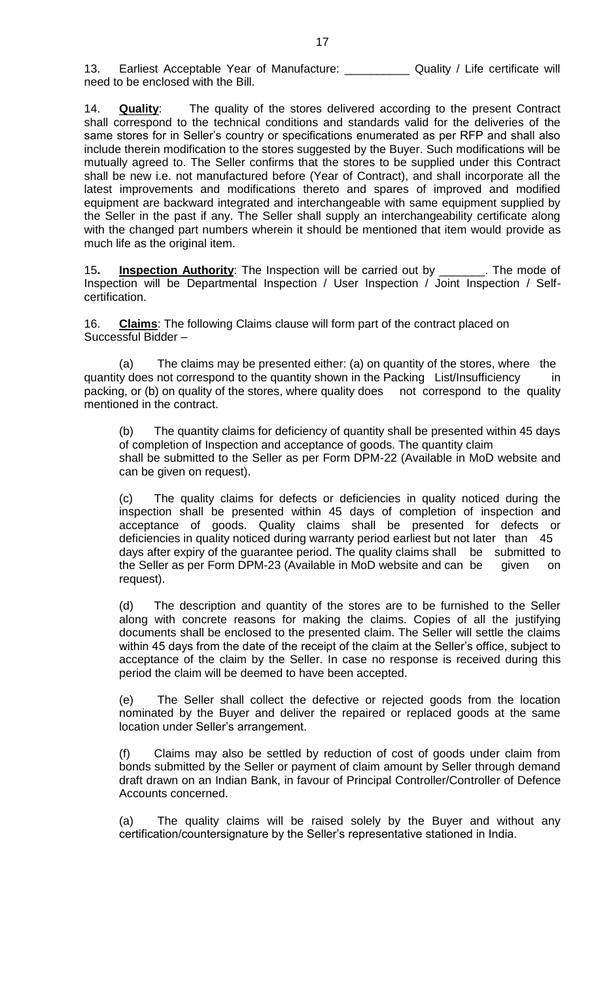14. **Quality**: The quality of the stores delivered according to the present Contract shall correspond to the technical conditions and standards valid for the deliveries of the same stores for in Seller's country or specifications enumerated as per RFP and shall also include therein modification to the stores suggested by the Buyer. Such modifications will be mutually agreed to. The Seller confirms that the stores to be supplied under this Contract shall be new i.e. not manufactured before (Year of Contract), and shall incorporate all the latest improvements and modifications thereto and spares of improved and modified equipment are backward integrated and interchangeable with same equipment supplied by the Seller in the past if any. The Seller shall supply an interchangeability certificate along with the changed part numbers wherein it should be mentioned that item would provide as much life as the original item.

15**. Inspection Authority**: The Inspection will be carried out by \_\_\_\_\_\_\_. The mode of Inspection will be Departmental Inspection / User Inspection / Joint Inspection / Selfcertification.

16. **Claims**: The following Claims clause will form part of the contract placed on Successful Bidder –

(a) The claims may be presented either: (a) on quantity of the stores, where the quantity does not correspond to the quantity shown in the Packing List/Insufficiency in packing, or (b) on quality of the stores, where quality does not correspond to the quality mentioned in the contract.

(b) The quantity claims for deficiency of quantity shall be presented within 45 days of completion of Inspection and acceptance of goods. The quantity claim shall be submitted to the Seller as per Form DPM-22 (Available in MoD website and can be given on request).

(c) The quality claims for defects or deficiencies in quality noticed during the inspection shall be presented within 45 days of completion of inspection and acceptance of goods. Quality claims shall be presented for defects or deficiencies in quality noticed during warranty period earliest but not later than 45 days after expiry of the guarantee period. The quality claims shall be submitted to the Seller as per Form DPM-23 (Available in MoD website and can be given on request).

(d) The description and quantity of the stores are to be furnished to the Seller along with concrete reasons for making the claims. Copies of all the justifying documents shall be enclosed to the presented claim. The Seller will settle the claims within 45 days from the date of the receipt of the claim at the Seller's office, subject to acceptance of the claim by the Seller. In case no response is received during this period the claim will be deemed to have been accepted.

(e) The Seller shall collect the defective or rejected goods from the location nominated by the Buyer and deliver the repaired or replaced goods at the same location under Seller's arrangement.

(f) Claims may also be settled by reduction of cost of goods under claim from bonds submitted by the Seller or payment of claim amount by Seller through demand draft drawn on an Indian Bank, in favour of Principal Controller/Controller of Defence Accounts concerned.

(a) The quality claims will be raised solely by the Buyer and without any certification/countersignature by the Seller's representative stationed in India.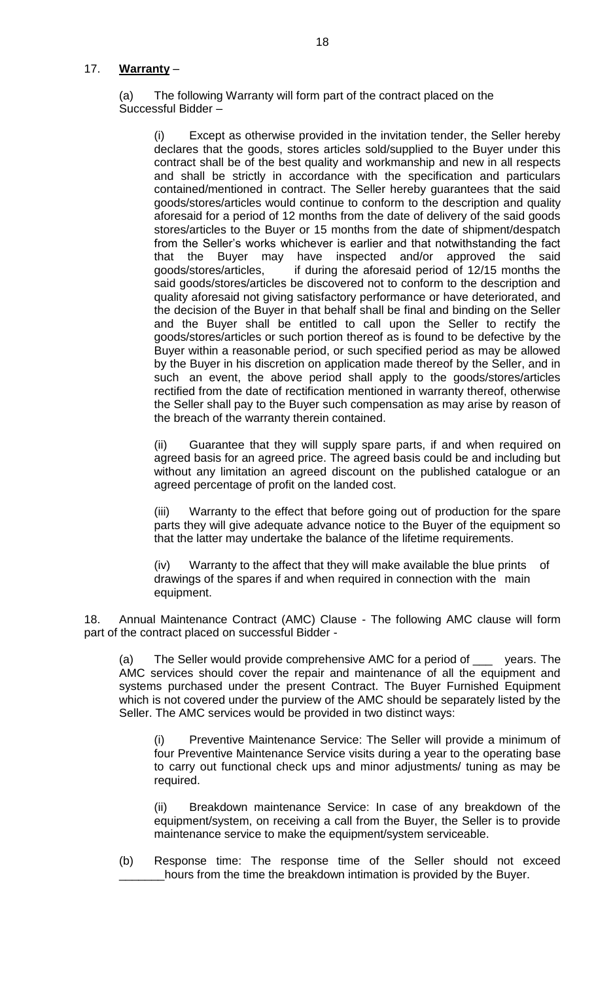# 17. **Warranty** –

(a) The following Warranty will form part of the contract placed on the Successful Bidder –

(i) Except as otherwise provided in the invitation tender, the Seller hereby declares that the goods, stores articles sold/supplied to the Buyer under this contract shall be of the best quality and workmanship and new in all respects and shall be strictly in accordance with the specification and particulars contained/mentioned in contract. The Seller hereby guarantees that the said goods/stores/articles would continue to conform to the description and quality aforesaid for a period of 12 months from the date of delivery of the said goods stores/articles to the Buyer or 15 months from the date of shipment/despatch from the Seller's works whichever is earlier and that notwithstanding the fact that the Buyer may have inspected and/or approved the said goods/stores/articles, if during the aforesaid period of 12/15 months the said goods/stores/articles be discovered not to conform to the description and quality aforesaid not giving satisfactory performance or have deteriorated, and the decision of the Buyer in that behalf shall be final and binding on the Seller and the Buyer shall be entitled to call upon the Seller to rectify the goods/stores/articles or such portion thereof as is found to be defective by the Buyer within a reasonable period, or such specified period as may be allowed by the Buyer in his discretion on application made thereof by the Seller, and in such an event, the above period shall apply to the goods/stores/articles rectified from the date of rectification mentioned in warranty thereof, otherwise the Seller shall pay to the Buyer such compensation as may arise by reason of the breach of the warranty therein contained.

(ii) Guarantee that they will supply spare parts, if and when required on agreed basis for an agreed price. The agreed basis could be and including but without any limitation an agreed discount on the published catalogue or an agreed percentage of profit on the landed cost.

(iii) Warranty to the effect that before going out of production for the spare parts they will give adequate advance notice to the Buyer of the equipment so that the latter may undertake the balance of the lifetime requirements.

(iv) Warranty to the affect that they will make available the blue prints of drawings of the spares if and when required in connection with the main equipment.

18. Annual Maintenance Contract (AMC) Clause - The following AMC clause will form part of the contract placed on successful Bidder -

(a) The Seller would provide comprehensive AMC for a period of \_\_\_ years. The AMC services should cover the repair and maintenance of all the equipment and systems purchased under the present Contract. The Buyer Furnished Equipment which is not covered under the purview of the AMC should be separately listed by the Seller. The AMC services would be provided in two distinct ways:

(i) Preventive Maintenance Service: The Seller will provide a minimum of four Preventive Maintenance Service visits during a year to the operating base to carry out functional check ups and minor adjustments/ tuning as may be required.

(ii) Breakdown maintenance Service: In case of any breakdown of the equipment/system, on receiving a call from the Buyer, the Seller is to provide maintenance service to make the equipment/system serviceable.

(b) Response time: The response time of the Seller should not exceed \_\_\_\_\_\_\_hours from the time the breakdown intimation is provided by the Buyer.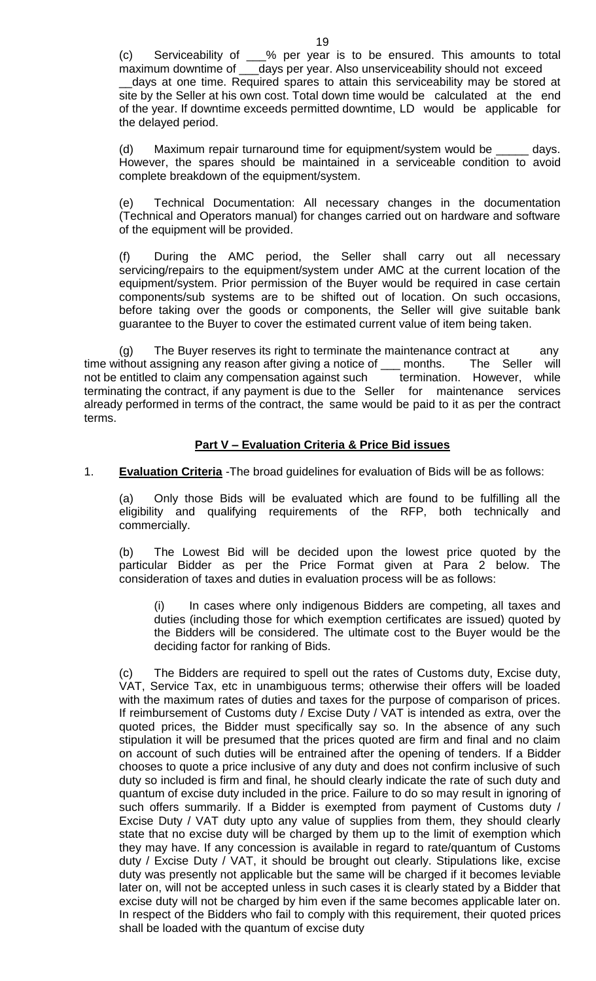(c) Serviceability of \_\_\_% per year is to be ensured. This amounts to total maximum downtime of \_\_\_days per year. Also unserviceability should not exceed days at one time. Required spares to attain this serviceability may be stored at site by the Seller at his own cost. Total down time would be calculated at the end of the year. If downtime exceeds permitted downtime, LD would be applicable for the delayed period.

(d) Maximum repair turnaround time for equipment/system would be \_\_\_\_\_ days. However, the spares should be maintained in a serviceable condition to avoid complete breakdown of the equipment/system.

(e) Technical Documentation: All necessary changes in the documentation (Technical and Operators manual) for changes carried out on hardware and software of the equipment will be provided.

(f) During the AMC period, the Seller shall carry out all necessary servicing/repairs to the equipment/system under AMC at the current location of the equipment/system. Prior permission of the Buyer would be required in case certain components/sub systems are to be shifted out of location. On such occasions, before taking over the goods or components, the Seller will give suitable bank guarantee to the Buyer to cover the estimated current value of item being taken.

(g) The Buyer reserves its right to terminate the maintenance contract at any time without assigning any reason after giving a notice of \_\_\_ months. The Seller will not be entitled to claim any compensation against such termination. However, while terminating the contract, if any payment is due to the Seller for maintenance services already performed in terms of the contract, the same would be paid to it as per the contract terms.

# **Part V – Evaluation Criteria & Price Bid issues**

1. **Evaluation Criteria** -The broad guidelines for evaluation of Bids will be as follows:

(a) Only those Bids will be evaluated which are found to be fulfilling all the eligibility and qualifying requirements of the RFP, both technically and commercially.

(b) The Lowest Bid will be decided upon the lowest price quoted by the particular Bidder as per the Price Format given at Para 2 below. The consideration of taxes and duties in evaluation process will be as follows:

(i) In cases where only indigenous Bidders are competing, all taxes and duties (including those for which exemption certificates are issued) quoted by the Bidders will be considered. The ultimate cost to the Buyer would be the deciding factor for ranking of Bids.

(c) The Bidders are required to spell out the rates of Customs duty, Excise duty, VAT, Service Tax, etc in unambiguous terms; otherwise their offers will be loaded with the maximum rates of duties and taxes for the purpose of comparison of prices. If reimbursement of Customs duty / Excise Duty / VAT is intended as extra, over the quoted prices, the Bidder must specifically say so. In the absence of any such stipulation it will be presumed that the prices quoted are firm and final and no claim on account of such duties will be entrained after the opening of tenders. If a Bidder chooses to quote a price inclusive of any duty and does not confirm inclusive of such duty so included is firm and final, he should clearly indicate the rate of such duty and quantum of excise duty included in the price. Failure to do so may result in ignoring of such offers summarily. If a Bidder is exempted from payment of Customs duty / Excise Duty / VAT duty upto any value of supplies from them, they should clearly state that no excise duty will be charged by them up to the limit of exemption which they may have. If any concession is available in regard to rate/quantum of Customs duty / Excise Duty / VAT, it should be brought out clearly. Stipulations like, excise duty was presently not applicable but the same will be charged if it becomes leviable later on, will not be accepted unless in such cases it is clearly stated by a Bidder that excise duty will not be charged by him even if the same becomes applicable later on. In respect of the Bidders who fail to comply with this requirement, their quoted prices shall be loaded with the quantum of excise duty